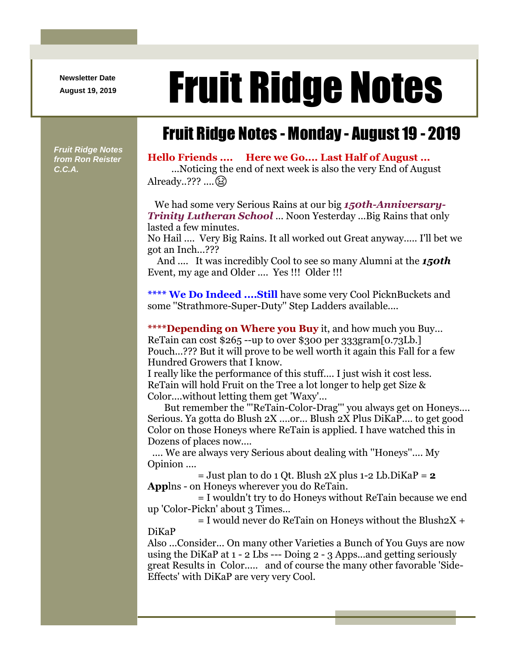**Newsletter Date**

# August 19, 2019 **Fruit Ridge Notes**

# Fruit Ridge Notes - Monday - August 19 - 2019

*Fruit Ridge Notes from Ron Reister C.C.A.*

### **Hello Friends .... Here we Go.... Last Half of August ...**

...Noticing the end of next week is also the very End of August Already..??? .... (25)

We had some very Serious Rains at our big *150th-Anniversary-Trinity Lutheran School* ... Noon Yesterday ...Big Rains that only lasted a few minutes.

No Hail .... Very Big Rains. It all worked out Great anyway..... I'll bet we got an Inch...???

And .... It was incredibly Cool to see so many Alumni at the *150th* Event, my age and Older .... Yes !!! Older !!!

**\*\*\*\* We Do Indeed ....Still** have some very Cool PicknBuckets and some ''Strathmore-Super-Duty'' Step Ladders available....

**\*\*\*\*Depending on Where you Buy** it, and how much you Buy... ReTain can cost \$265 --up to over \$300 per 333gram[0.73Lb.] Pouch...??? But it will prove to be well worth it again this Fall for a few Hundred Growers that I know.

I really like the performance of this stuff.... I just wish it cost less. ReTain will hold Fruit on the Tree a lot longer to help get Size & Color....without letting them get 'Waxy'...

But remember the '''ReTain-Color-Drag''' you always get on Honeys.... Serious. Ya gotta do Blush 2X ....or... Blush 2X Plus DiKaP.... to get good Color on those Honeys where ReTain is applied. I have watched this in Dozens of places now....

.... We are always very Serious about dealing with ''Honeys''.... My Opinion ....

 $=$  Just plan to do 1 Qt. Blush  $2X$  plus 1-2 Lb. DiKaP  $=$  **2 App**lns - on Honeys wherever you do ReTain.

= I wouldn't try to do Honeys without ReTain because we end up 'Color-Pickn' about 3 Times...

 $=$  I would never do ReTain on Honeys without the Blush $2X +$ DiKaP

Also ...Consider... On many other Varieties a Bunch of You Guys are now using the DiKaP at 1 - 2 Lbs --- Doing 2 - 3 Apps...and getting seriously great Results in Color..... and of course the many other favorable 'Side-Effects' with DiKaP are very very Cool.